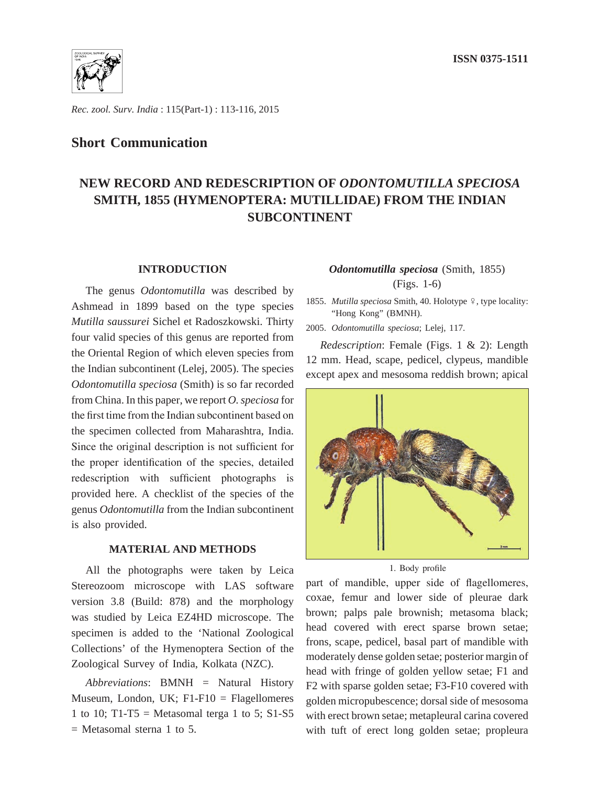

*Rec. zool. Surv. India* : 115(Part-1) : 113-116, 2015

### **Short Communication**

# **NEW RECORD AND REDESCRIPTION OF** *ODONTOMUTILLA SPECIOSA* **SMITH, 1855 (HYMENOPTERA: MUTILLIDAE) FROM THE INDIAN SUBCONTINENT**

### **INTRODUCTION**

The genus *Odontomutilla* was described by Ashmead in 1899 based on the type species *Mutilla saussurei* Sichel et Radoszkowski. Thirty four valid species of this genus are reported from the Oriental Region of which eleven species from the Indian subcontinent (Lelej, 2005). The species *Odontomutilla speciosa* (Smith) is so far recorded from China. In this paper, we report *O. speciosa* for the first time from the Indian subcontinent based on the specimen collected from Maharashtra, India. Since the original description is not sufficient for the proper identification of the species, detailed redescription with sufficient photographs is provided here. A checklist of the species of the genus *Odontomutilla* from the Indian subcontinent is also provided.

### **MATERIAL AND METHODS**

All the photographs were taken by Leica Stereozoom microscope with LAS software version 3.8 (Build: 878) and the morphology was studied by Leica EZ4HD microscope. The specimen is added to the 'National Zoological Collections' of the Hymenoptera Section of the Zoological Survey of India, Kolkata (NZC).

*Abbreviations*: BMNH = Natural History Museum, London, UK; F1-F10 = Flagellomeres 1 to 10; T1-T5 = Metasomal terga 1 to 5; S1-S5  $=$  Metasomal sterna 1 to 5.

### *Odontomutilla speciosa* (Smith, 1855) (Figs. 1-6)

1855. *Mutilla speciosa* Smith, 40. Holotype  $\frac{1}{7}$ , type locality: "Hong Kong" (BMNH).

2005. *Odontomutilla speciosa*; Lelej, 117.

*Redescription*: Female (Figs. 1 & 2): Length 12 mm. Head, scape, pedicel, clypeus, mandible except apex and mesosoma reddish brown; apical



1. Body profile

part of mandible, upper side of flagellomeres, coxae, femur and lower side of pleurae dark brown; palps pale brownish; metasoma black; head covered with erect sparse brown setae; frons, scape, pedicel, basal part of mandible with moderately dense golden setae; posterior margin of head with fringe of golden yellow setae; F1 and F2 with sparse golden setae; F3-F10 covered with golden micropubescence; dorsal side of mesosoma with erect brown setae; metapleural carina covered with tuft of erect long golden setae; propleura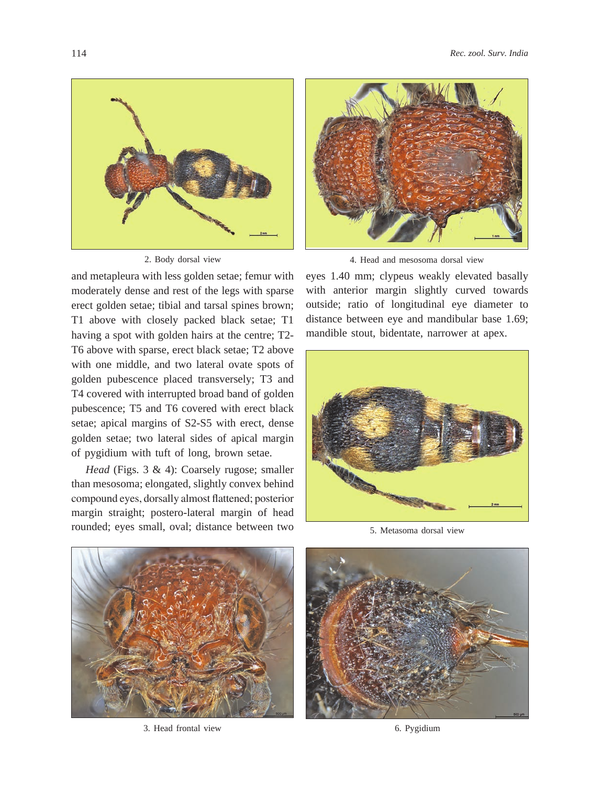

2. Body dorsal view

and metapleura with less golden setae; femur with moderately dense and rest of the legs with sparse erect golden setae; tibial and tarsal spines brown; T1 above with closely packed black setae; T1 having a spot with golden hairs at the centre; T2- T6 above with sparse, erect black setae; T2 above with one middle, and two lateral ovate spots of golden pubescence placed transversely; T3 and T4 covered with interrupted broad band of golden pubescence; T5 and T6 covered with erect black setae; apical margins of S2-S5 with erect, dense golden setae; two lateral sides of apical margin of pygidium with tuft of long, brown setae.

*Head* (Figs. 3 & 4): Coarsely rugose; smaller than mesosoma; elongated, slightly convex behind compound eyes, dorsally almost flattened; posterior margin straight; postero-lateral margin of head rounded; eyes small, oval; distance between two



4. Head and mesosoma dorsal view

eyes 1.40 mm; clypeus weakly elevated basally with anterior margin slightly curved towards outside; ratio of longitudinal eye diameter to distance between eye and mandibular base 1.69; mandible stout, bidentate, narrower at apex.



5. Metasoma dorsal view



3. Head frontal view

6. Pygidium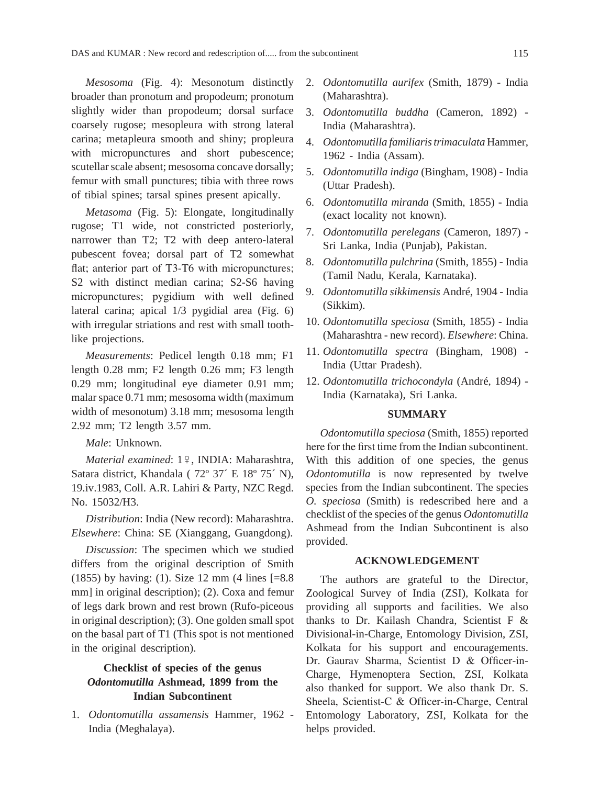*Mesosoma* (Fig. 4): Mesonotum distinctly broader than pronotum and propodeum; pronotum slightly wider than propodeum; dorsal surface coarsely rugose; mesopleura with strong lateral carina; metapleura smooth and shiny; propleura with micropunctures and short pubescence: scutellar scale absent; mesosoma concave dorsally; femur with small punctures; tibia with three rows of tibial spines; tarsal spines present apically.

*Metasoma* (Fig. 5): Elongate, longitudinally rugose; T1 wide, not constricted posteriorly, narrower than T2; T2 with deep antero-lateral pubescent fovea; dorsal part of T2 somewhat flat; anterior part of T3-T6 with micropunctures; S2 with distinct median carina; S2-S6 having micropunctures; pygidium with well defined lateral carina; apical 1/3 pygidial area (Fig. 6) with irregular striations and rest with small toothlike projections.

*Measurements*: Pedicel length 0.18 mm; F1 length 0.28 mm; F2 length 0.26 mm; F3 length 0.29 mm; longitudinal eye diameter 0.91 mm; malar space 0.71 mm; mesosoma width (maximum width of mesonotum) 3.18 mm; mesosoma length 2.92 mm; T2 length 3.57 mm.

*Male*: Unknown.

*Material examined*: 1º, INDIA: Maharashtra, Satara district, Khandala ( 72º 37´ E 18º 75´ N), 19.iv.1983, Coll. A.R. Lahiri & Party, NZC Regd. No. 15032/H3.

*Distribution*: India (New record): Maharashtra. *Elsewhere*: China: SE (Xianggang, Guangdong).

*Discussion*: The specimen which we studied differs from the original description of Smith (1855) by having: (1). Size 12 mm (4 lines [=8.8 mm] in original description); (2). Coxa and femur of legs dark brown and rest brown (Rufo-piceous in original description); (3). One golden small spot on the basal part of T1 (This spot is not mentioned in the original description).

## **Checklist of species of the genus**  *Odontomutilla* **Ashmead, 1899 from the Indian Subcontinent**

1. *Odontomutilla assamensis* Hammer, 1962 - India (Meghalaya).

- 2. *Odontomutilla aurifex* (Smith, 1879) India (Maharashtra).
- 3. *Odontomutilla buddha* (Cameron, 1892) India (Maharashtra).
- 4. *Odontomutilla familiaristrimaculata* Hammer, 1962 - India (Assam).
- 5. *Odontomutilla indiga* (Bingham, 1908) India (Uttar Pradesh).
- 6. *Odontomutilla miranda* (Smith, 1855) India (exact locality not known).
- 7. *Odontomutilla perelegans* (Cameron, 1897) Sri Lanka, India (Punjab), Pakistan.
- 8. *Odontomutilla pulchrina* (Smith, 1855) India (Tamil Nadu, Kerala, Karnataka).
- 9. *Odontomutilla sikkimensis* André, 1904 India (Sikkim).
- 10. *Odontomutilla speciosa* (Smith, 1855) India (Maharashtra - new record). *Elsewhere*: China.
- 11. *Odontomutilla spectra* (Bingham, 1908) India (Uttar Pradesh).
- 12. *Odontomutilla trichocondyla* (André, 1894) India (Karnataka), Sri Lanka.

### **SUMMARY**

*Odontomutilla speciosa* (Smith, 1855) reported here for the first time from the Indian subcontinent. With this addition of one species, the genus *Odontomutilla* is now represented by twelve species from the Indian subcontinent. The species *O. speciosa* (Smith) is redescribed here and a checklist of the species of the genus *Odontomutilla*  Ashmead from the Indian Subcontinent is also provided.

#### **ACKNOWLEDGEMENT**

The authors are grateful to the Director, Zoological Survey of India (ZSI), Kolkata for providing all supports and facilities. We also thanks to Dr. Kailash Chandra, Scientist F & Divisional-in-Charge, Entomology Division, ZSI, Kolkata for his support and encouragements. Dr. Gaurav Sharma, Scientist D & Officer-in-Charge, Hymenoptera Section, ZSI, Kolkata also thanked for support. We also thank Dr. S. Sheela, Scientist-C & Officer-in-Charge, Central Entomology Laboratory, ZSI, Kolkata for the helps provided.